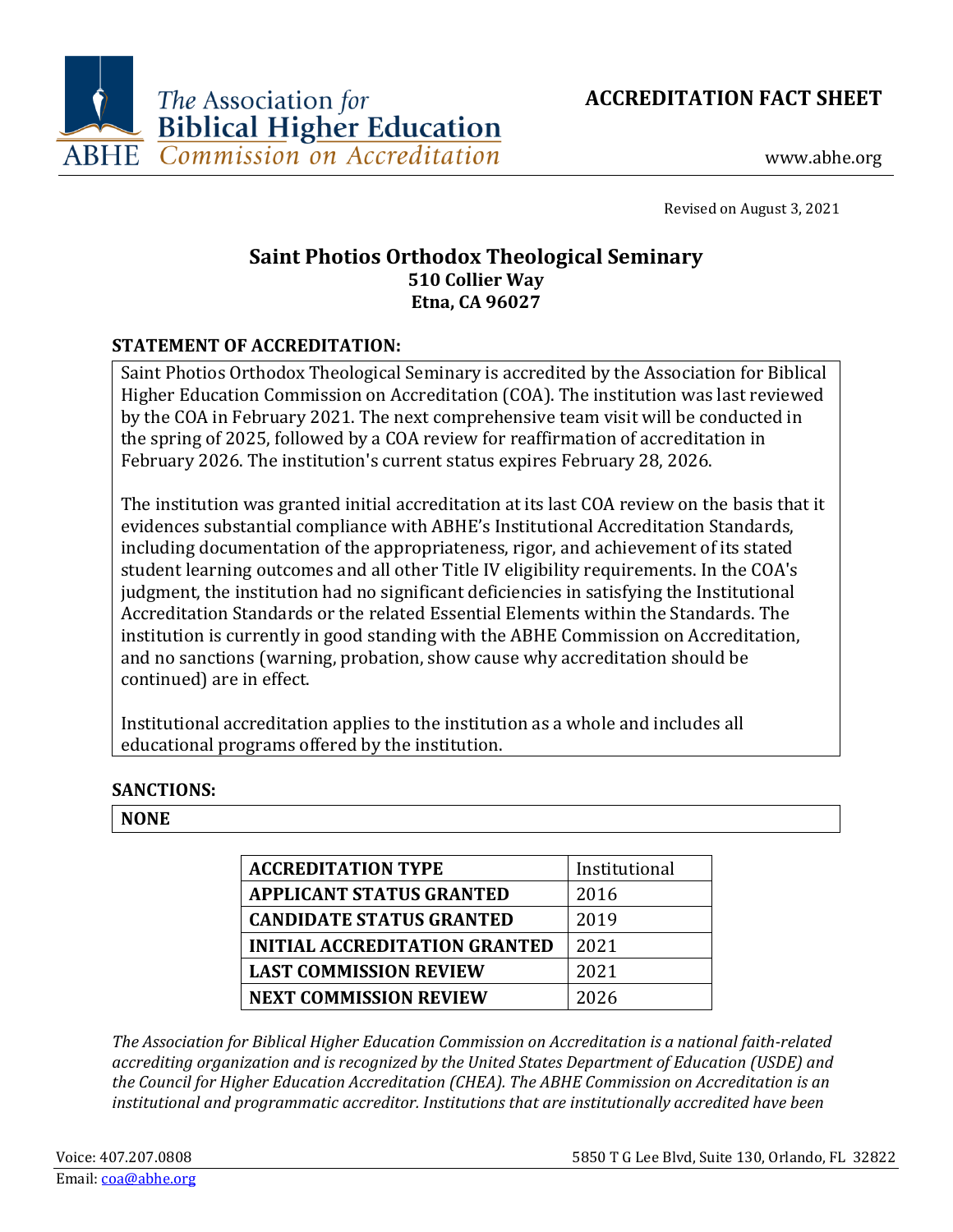



www.abhe.org

Revised on August 3, 2021

## **Saint Photios Orthodox Theological Seminary 510 Collier Way Etna, CA 96027**

## **STATEMENT OF ACCREDITATION:**

Saint Photios Orthodox Theological Seminary is accredited by the Association for Biblical Higher Education Commission on Accreditation (COA). The institution was last reviewed by the COA in February 2021. The next comprehensive team visit will be conducted in the spring of 2025, followed by a COA review for reaffirmation of accreditation in February 2026. The institution's current status expires February 28, 2026.

The institution was granted initial accreditation at its last COA review on the basis that it evidences substantial compliance with ABHE's Institutional Accreditation Standards, including documentation of the appropriateness, rigor, and achievement of its stated student learning outcomes and all other Title IV eligibility requirements. In the COA's judgment, the institution had no significant deficiencies in satisfying the Institutional Accreditation Standards or the related Essential Elements within the Standards. The institution is currently in good standing with the ABHE Commission on Accreditation, and no sanctions (warning, probation, show cause why accreditation should be continued) are in effect.

Institutional accreditation applies to the institution as a whole and includes all educational programs offered by the institution.

## **SANCTIONS:**

## **NONE**

| <b>ACCREDITATION TYPE</b>            | Institutional |
|--------------------------------------|---------------|
| <b>APPLICANT STATUS GRANTED</b>      | 2016          |
| <b>CANDIDATE STATUS GRANTED</b>      | 2019          |
| <b>INITIAL ACCREDITATION GRANTED</b> | 2021          |
| <b>LAST COMMISSION REVIEW</b>        | 2021          |
| <b>NEXT COMMISSION REVIEW</b>        | 2026          |

*The Association for Biblical Higher Education Commission on Accreditation is a national faith-related accrediting organization and is recognized by the United States Department of Education (USDE) and the Council for Higher Education Accreditation (CHEA). The ABHE Commission on Accreditation is an institutional and programmatic accreditor. Institutions that are institutionally accredited have been*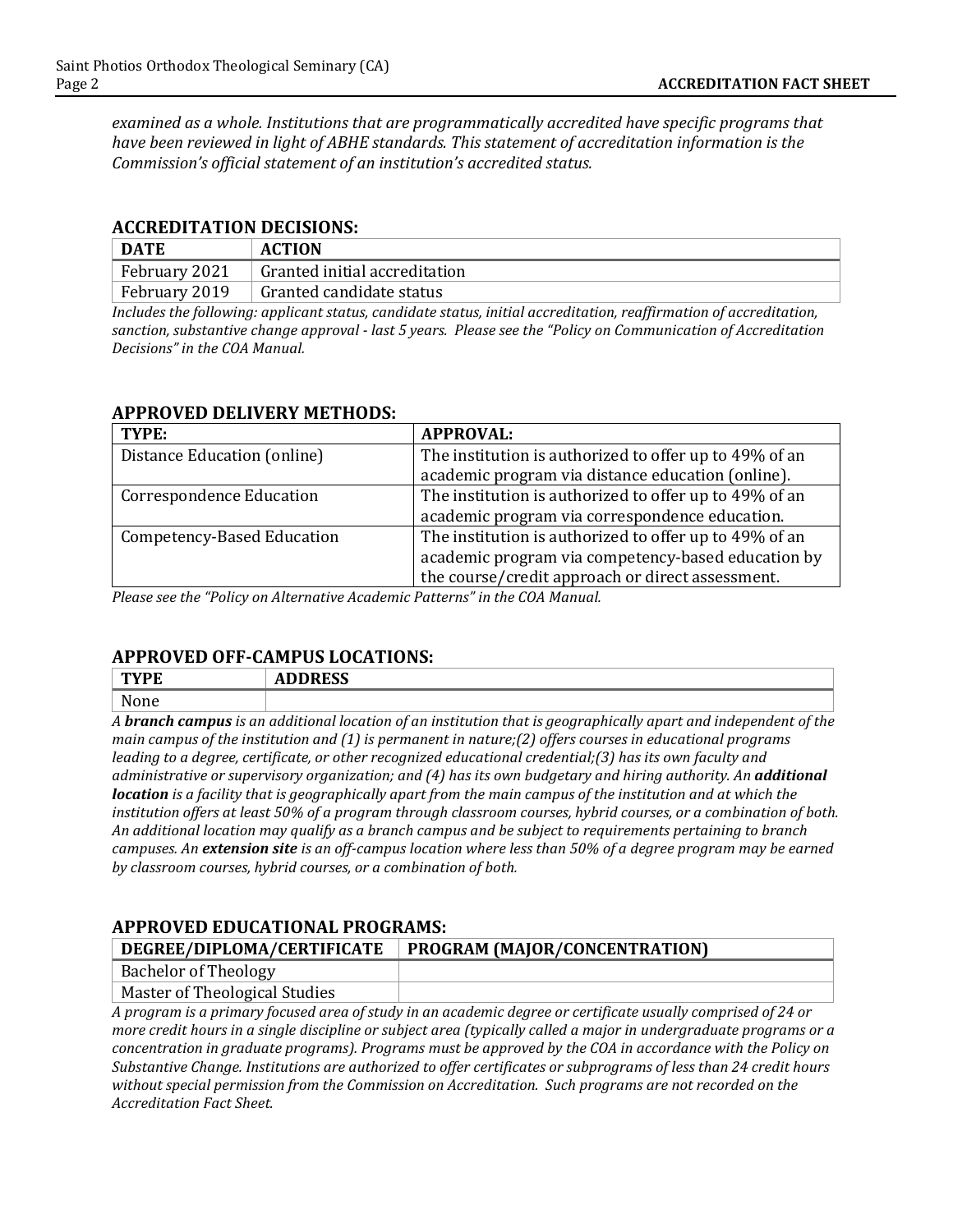*examined as a whole. Institutions that are programmatically accredited have specific programs that have been reviewed in light of ABHE standards. This statement of accreditation information is the Commission's official statement of an institution's accredited status.*

#### **ACCREDITATION DECISIONS:**

| <b>DATE</b>   | <b>ACTION</b>                 |
|---------------|-------------------------------|
| February 2021 | Granted initial accreditation |
| February 2019 | Granted candidate status      |

*Includes the following: applicant status, candidate status, initial accreditation, reaffirmation of accreditation, sanction, substantive change approval - last 5 years. Please see the "Policy on Communication of Accreditation Decisions" in the COA Manual.*

#### **APPROVED DELIVERY METHODS:**

| TYPE:                             | <b>APPROVAL:</b>                                       |
|-----------------------------------|--------------------------------------------------------|
| Distance Education (online)       | The institution is authorized to offer up to 49% of an |
|                                   | academic program via distance education (online).      |
| <b>Correspondence Education</b>   | The institution is authorized to offer up to 49% of an |
|                                   | academic program via correspondence education.         |
| <b>Competency-Based Education</b> | The institution is authorized to offer up to 49% of an |
|                                   | academic program via competency-based education by     |
|                                   | the course/credit approach or direct assessment.       |

*Please see the "Policy on Alternative Academic Patterns" in the COA Manual.*

#### **APPROVED OFF-CAMPUS LOCATIONS:**

| <b>TWDF</b> | <b>DDDDCC</b><br>ADDINIJJ  |
|-------------|----------------------------|
| None        |                            |
| __          | ______<br>__<br>____<br>__ |

*A branch campus is an additional location of an institution that is geographically apart and independent of the main campus of the institution and (1) is permanent in nature;(2) offers courses in educational programs leading to a degree, certificate, or other recognized educational credential;(3) has its own faculty and administrative or supervisory organization; and (4) has its own budgetary and hiring authority. An additional location is a facility that is geographically apart from the main campus of the institution and at which the institution offers at least 50% of a program through classroom courses, hybrid courses, or a combination of both. An additional location may qualify as a branch campus and be subject to requirements pertaining to branch campuses. An extension site is an off-campus location where less than 50% of a degree program may be earned by classroom courses, hybrid courses, or a combination of both.*

#### **APPROVED EDUCATIONAL PROGRAMS:**

| DEGREE/DIPLOMA/CERTIFICATE                                                                                   | PROGRAM (MAJOR/CONCENTRATION) |  |
|--------------------------------------------------------------------------------------------------------------|-------------------------------|--|
| Bachelor of Theology                                                                                         |                               |  |
| Master of Theological Studies                                                                                |                               |  |
| A program is a primary focused area of study in an academic degree or certificate usually comprised of 24 or |                               |  |

*A program is a primary focused area of study in an academic degree or certificate usually comprised of 24 or more credit hours in a single discipline or subject area (typically called a major in undergraduate programs or a concentration in graduate programs). Programs must be approved by the COA in accordance with the Policy on Substantive Change. Institutions are authorized to offer certificates or subprograms of less than 24 credit hours without special permission from the Commission on Accreditation. Such programs are not recorded on the Accreditation Fact Sheet.*